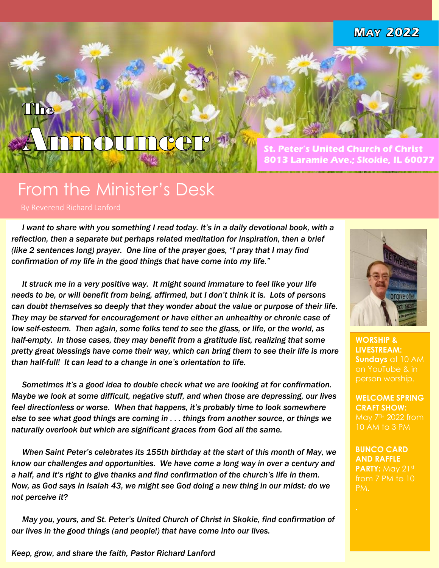**MAY 2022** 

# Incer! **CD**

**St. Peter's United Church of Christ 8013 Laramie Ave.; Skokie, IL 60077**

# From the Minister's Desk

By Reverend Richard Lanford

1ª

TThe

 *I want to share with you something I read today. It's in a daily devotional book, with a reflection, then a separate but perhaps related meditation for inspiration, then a brief (like 2 sentences long) prayer. One line of the prayer goes, "I pray that I may find confirmation of my life in the good things that have come into my life."* 

 *It struck me in a very positive way. It might sound immature to feel like your life needs to be, or will benefit from being, affirmed, but I don't think it is. Lots of persons can doubt themselves so deeply that they wonder about the value or purpose of their life. They may be starved for encouragement or have either an unhealthy or chronic case of low self-esteem. Then again, some folks tend to see the glass, or life, or the world, as half-empty. In those cases, they may benefit from a gratitude list, realizing that some pretty great blessings have come their way, which can bring them to see their life is more than half-full! It can lead to a change in one's orientation to life.*

 *Sometimes it's a good idea to double check what we are looking at for confirmation. Maybe we look at some difficult, negative stuff, and when those are depressing, our lives feel directionless or worse. When that happens, it's probably time to look somewhere else to see what good things are coming in . . . things from another source, or things we naturally overlook but which are significant graces from God all the same.*

 *When Saint Peter's celebrates its 155th birthday at the start of this month of May, we know our challenges and opportunities. We have come a long way in over a century and a half, and it's right to give thanks and find confirmation of the church's life in them. Now, as God says in Isaiah 43, we might see God doing a new thing in our midst: do we not perceive it?* 

 *May you, yours, and St. Peter's United Church of Christ in Skokie, find confirmation of our lives in the good things (and people!) that have come into our lives.* 



**WORSHIP & LIVESTREAM: Sundays** at 10 AM on YouTube & in person worship.

**WELCOME SPRING CRAFT SHOW:** May 7<sup>TH</sup> 2022 from

**BUNCO CARD AND RAFFLE PARTY:** May 21st from 7 PM to 10

*Keep, grow, and share the faith, Pastor Richard Lanford*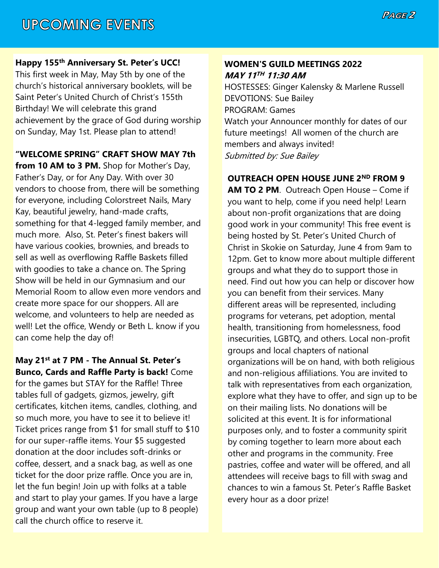### **Happy 155th Anniversary St. Peter's UCC!**

This first week in May, May 5th by one of the church's historical anniversary booklets, will be Saint Peter's United Church of Christ's 155th Birthday! We will celebrate this grand achievement by the grace of God during worship on Sunday, May 1st. Please plan to attend!

**"WELCOME SPRING" CRAFT SHOW MAY 7th from 10 AM to 3 PM.** Shop for Mother's Day, Father's Day, or for Any Day. With over 30 vendors to choose from, there will be something for everyone, including Colorstreet Nails, Mary Kay, beautiful jewelry, hand-made crafts, something for that 4-legged family member, and much more. Also, St. Peter's finest bakers will have various cookies, brownies, and breads to sell as well as overflowing Raffle Baskets filled with goodies to take a chance on. The Spring Show will be held in our Gymnasium and our Memorial Room to allow even more vendors and create more space for our shoppers. All are welcome, and volunteers to help are needed as well! Let the office, Wendy or Beth L. know if you can come help the day of!

### **May 21st at 7 PM - The Annual St. Peter's Bunco, Cards and Raffle Party is back!** Come

for the games but STAY for the Raffle! Three tables full of gadgets, gizmos, jewelry, gift certificates, kitchen items, candles, clothing, and so much more, you have to see it to believe it! Ticket prices range from \$1 for small stuff to \$10 for our super-raffle items. Your \$5 suggested donation at the door includes soft-drinks or coffee, dessert, and a snack bag, as well as one ticket for the door prize raffle. Once you are in, let the fun begin! Join up with folks at a table and start to play your games. If you have a large group and want your own table (up to 8 people) call the church office to reserve it.

### **WOMEN'S GUILD MEETINGS 2022 MAY 11 TH 11:30 AM**

HOSTESSES: Ginger Kalensky & Marlene Russell DEVOTIONS: Sue Bailey PROGRAM: Games Watch your Announcer monthly for dates of our future meetings! All women of the church are members and always invited! Submitted by: Sue Bailey

## **OUTREACH OPEN HOUSE JUNE 2ND FROM 9**

**AM TO 2 PM**. Outreach Open House – Come if you want to help, come if you need help! Learn about non-profit organizations that are doing good work in your community! This free event is being hosted by St. Peter's United Church of Christ in Skokie on Saturday, June 4 from 9am to 12pm. Get to know more about multiple different groups and what they do to support those in need. Find out how you can help or discover how you can benefit from their services. Many different areas will be represented, including programs for veterans, pet adoption, mental health, transitioning from homelessness, food insecurities, LGBTQ, and others. Local non-profit groups and local chapters of national organizations will be on hand, with both religious and non-religious affiliations. You are invited to talk with representatives from each organization, explore what they have to offer, and sign up to be on their mailing lists. No donations will be solicited at this event. It is for informational purposes only, and to foster a community spirit by coming together to learn more about each other and programs in the community. Free pastries, coffee and water will be offered, and all attendees will receive bags to fill with swag and chances to win a famous St. Peter's Raffle Basket every hour as a door prize!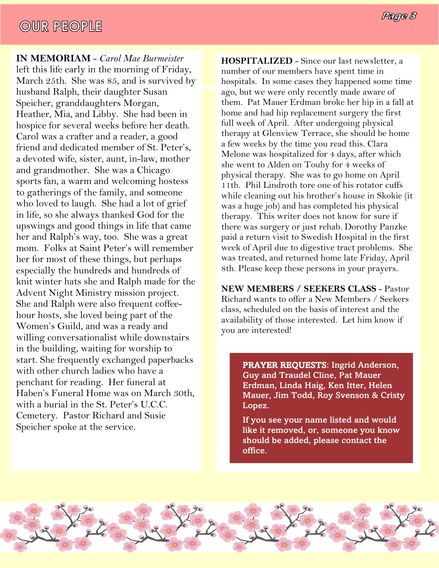# **OUR PEOPLE**

**IN MEMORIAM** - *Carol Mae Burmeister* left this life early in the morning of Friday, March 25th. She was 85, and is survived by husband Ralph, their daughter Susan Speicher, granddaughters Morgan, Heather, Mia, and Libby. She had been in hospice for several weeks before her death. Carol was a crafter and a reader, a good friend and dedicated member of St. Peter's, a devoted wife, sister, aunt, in-law, mother and grandmother. She was a Chicago sports fan, a warm and welcoming hostess to gatherings of the family, and someone who loved to laugh. She had a lot of grief in life, so she always thanked God for the upswings and good things in life that came her and Ralph's way, too. She was a great mom. Folks at Saint Peter's will remember her for most of these things, but perhaps especially the hundreds and hundreds of knit winter hats she and Ralph made for the Advent Night Ministry mission project. She and Ralph were also frequent coffeehour hosts, she loved being part of the Women's Guild, and was a ready and willing conversationalist while downstairs in the building, waiting for worship to start. She frequently exchanged paperbacks with other church ladies who have a penchant for reading. Her funeral at Haben's Funeral Home was on March 30th, with a burial in the St. Peter's U.C.C. Cemetery. Pastor Richard and Susie Speicher spoke at the service.

**PAGE AGE AGE AGE** *AGE AGE AGE AGE Age AGE Age Age Age Age Age Age Age Age Age Age Age Age Age Age Age Age Age Age Age* **Page 4** hospitals. In some cases they happened some time **HOSPITALIZED** - Since our last newsletter, a number of our members have spent time in them. Pat Mauer Erdman broke her hip in a fall at home and had hip replacement surgery the first full week of April. After undergoing physical therapy at Glenview Terrace, she should be home a few weeks by the time you read this. Clara Melone was hospitalized for 4 days, after which she went to Alden on Touhy for 4 weeks of physical therapy. She was to go home on April 11th. Phil Lindroth tore one of his rotator cuffs while cleaning out his brother's house in Skokie (it was a huge job) and has completed his physical therapy. This writer does not know for sure if there was surgery or just rehab. Dorothy Panzke paid a return visit to Swedish Hospital in the first week of April due to digestive tract problems. She was treated, and returned home late Friday, April 8th. Please keep these persons in your prayers.

> **NEW MEMBERS / SEEKERS CLASS** - Pastor Richard wants to offer a New Members / Seekers class, scheduled on the basis of interest and the availability of those interested. Let him know if you are interested!

> > PRAYER REQUESTS: Ingrid Anderson, Guy and Traudel Cline, Pat Mauer Erdman, Linda Haig, Ken Itter, Helen Mauer, Jim Todd, Roy Svenson & Cristy Lopez.

If you see your name listed and would like it removed, or, someone you know should be added, please contact the office.